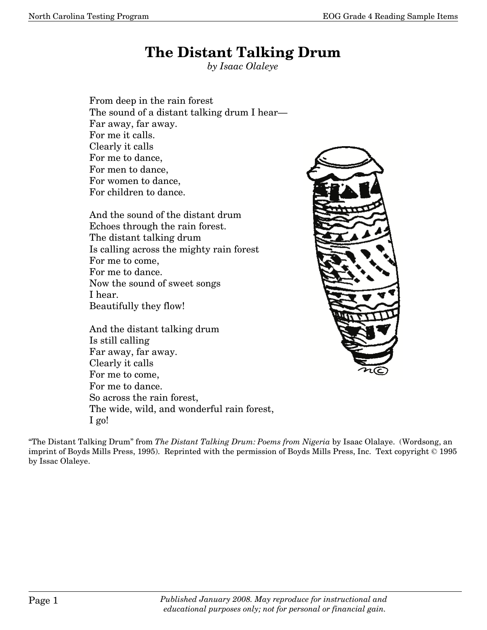## **The Distant Talking Drum**

*by Isaac Olaleye* 

 From deep in the rain forest The sound of a distant talking drum I hear- Far away, far away. For me it calls. Clearly it calls For me to dance, For men to dance, For women to dance, For children to dance.

 And the sound of the distant drum Echoes through the rain forest. The distant talking drum Is calling across the mighty rain forest For me to come, For me to dance. Now the sound of sweet songs I hear. Beautifully they flow!

 And the distant talking drum Is still calling Far away, far away. Clearly it calls For me to come, For me to dance. So across the rain forest, The wide, wild, and wonderful rain forest, I go!



"The Distant Talking Drum" from *The Distant Talking Drum: Poems from Nigeria* by Isaac Olalaye. (Wordsong, an imprint of Boyds Mills Press, 1995). Reprinted with the permission of Boyds Mills Press, Inc. Text copyright © 1995 by Issac Olaleye.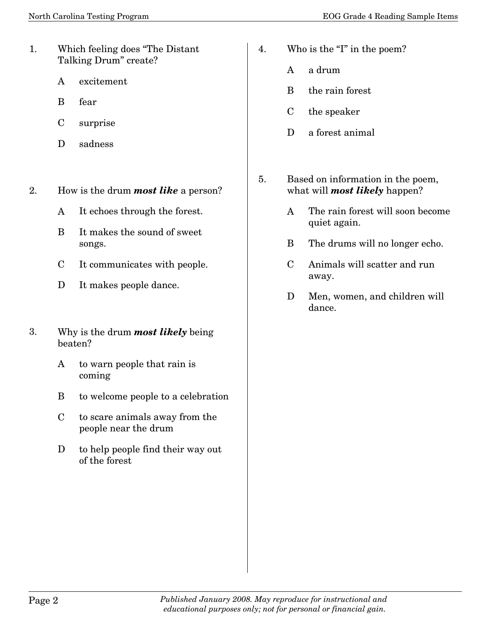- 1. Which feeling does "The Distant Talking Drum" create?
	- A excitement
	- B fear
	- C surprise
	- D sadness
- 2. How is the drum *most like* a person?
	- A It echoes through the forest.
	- B It makes the sound of sweet songs.
	- C It communicates with people.
	- D It makes people dance.
- 3. Why is the drum *most likely* being beaten?
	- A to warn people that rain is coming
	- B to welcome people to a celebration
	- C to scare animals away from the people near the drum
	- D to help people find their way out of the forest
- 4. Who is the "I" in the poem?
	- A a drum
	- B the rain forest
	- C the speaker
	- D a forest animal
- 5. Based on information in the poem, what will *most likely* happen?
	- A The rain forest will soon become quiet again.
	- B The drums will no longer echo.
	- C Animals will scatter and run away.
	- D Men, women, and children will dance.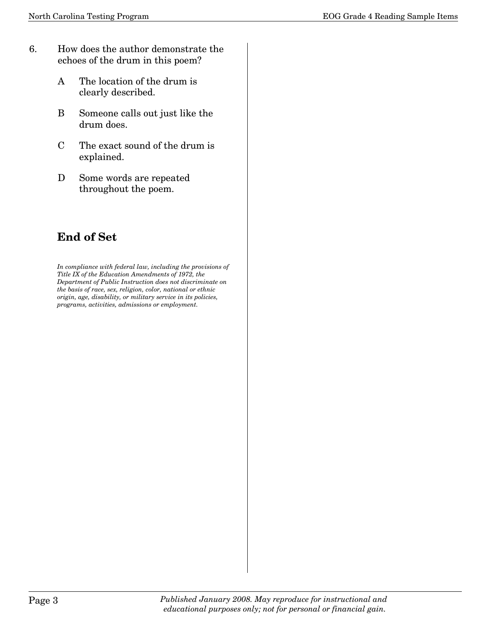- 6. How does the author demonstrate the echoes of the drum in this poem?
	- A The location of the drum is clearly described.
	- B Someone calls out just like the drum does.
	- C The exact sound of the drum is explained.
	- D Some words are repeated throughout the poem.

## **End of Set**

*In compliance with federal law, including the provisions of Title IX of the Education Amendments of 1972, the Department of Public Instruction does not discriminate on the basis of race, sex, religion, color, national or ethnic origin, age, disability, or military service in its policies, programs, activities, admissions or employment.*